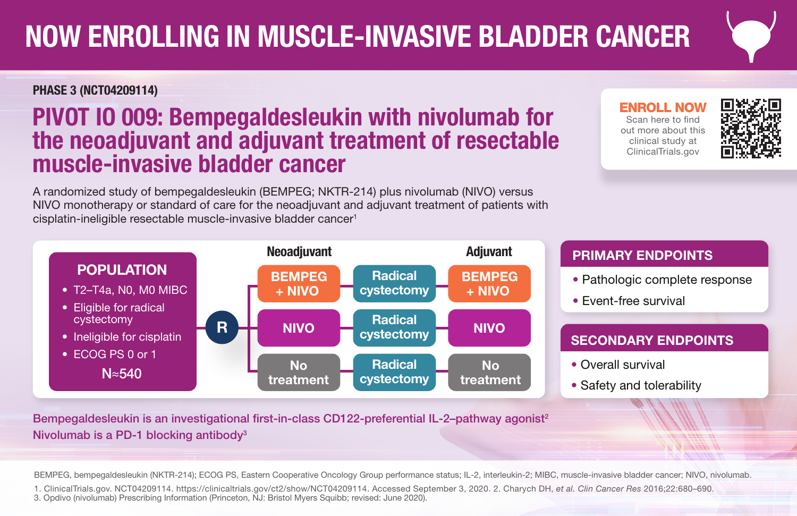### PHASE 3 (NCT04209114)

## PIVOT IO 009: Bempegaldesleukin with nivolumab for the neoadjuvant and adjuvant treatment of resectable muscle-invasive bladder cancer

A randomized study of bempegaldesleukin (BEMPEG; NKTR-214) plus nivolumab (NIVO) versus NIVO monotherapy or standard of care for the neoadjuvant and adjuvant treatment of patients with cisplatin-ineligible resectable muscle-invasive bladder cancer1

#### ENROLL NOW Scan here to find out more about this clinical study at ClinicalTrials.gov



#### **Population** POPULATION  $\bullet$  T2–T4a, N0, M0 MIBC • Eligible for radical metastatic melanoma cystectomy • Ineligible for cisplatin **factors** • ECOG PS 0 or 1 • *BRAF* statusb N≈540 • AJCC stage (8th edition)c **Neoadjuvant** Adjuvant Adjuvant Adjuvant **BEG Radical + N**<sub>2</sub> cystectomy **NIVO 360 mg IV Q3W** Radical R **BEMPEG** + NIVO NIVO cystectomy NIVO No treatment Radical cystectomy **BEMPEG** + NIVO No treatment

#### PRIMARY ENDPOINTS

- Pathologic complete response
- Event-free survival

#### SECONDARY ENDPOINTS

- Overall survival
- Safety and tolerability

Bempegaldesleukin is an investigational first-in-class CD122-preferential IL-2-pathway agonist<sup>2</sup> Nivolumab is a PD-1 blocking antibody3

BEMPEG, bempegaldesleukin (NKTR-214); ECOG PS, Eastern Cooperative Oncology Group performance status; IL-2, interleukin-2; MIBC, muscle-invasive bladder cancer; NIVO, nivolumab.

1. ClinicalTrials.gov. NCT04209114. https://clinicaltrials.gov/ct2/show/NCT04209114. Accessed September 3, 2020. 2. Charych DH, *et al. Clin Cancer Res* 2016;22:680–690. 3. Opdivo (nivolumab) Prescribing Information (Princeton, NJ: Bristol Myers Squibb; revised: June 2020).